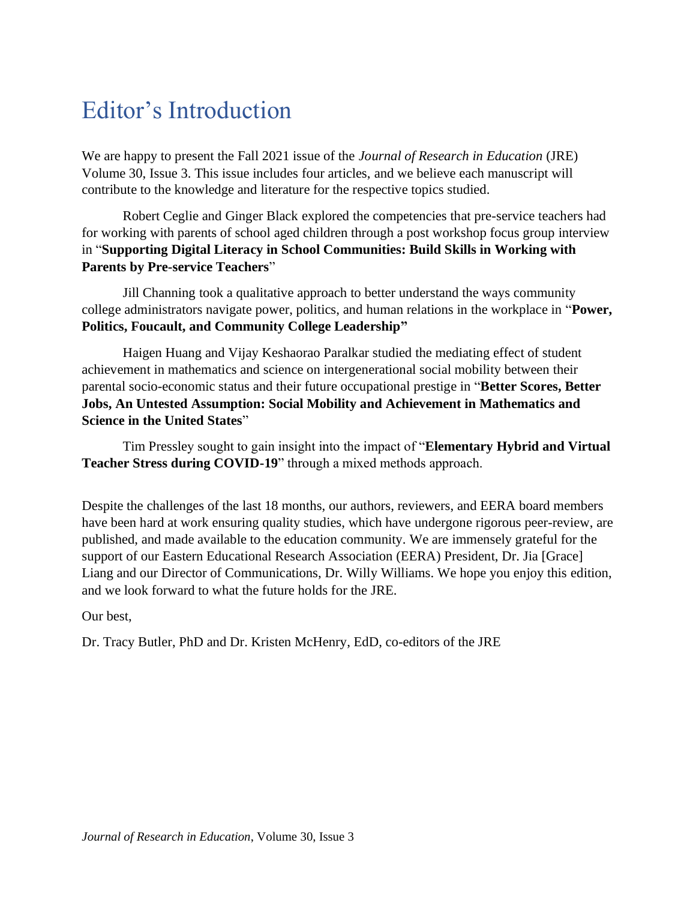## Editor's Introduction

We are happy to present the Fall 2021 issue of the *Journal of Research in Education* (JRE) Volume 30, Issue 3. This issue includes four articles, and we believe each manuscript will contribute to the knowledge and literature for the respective topics studied.

Robert Ceglie and Ginger Black explored the competencies that pre-service teachers had for working with parents of school aged children through a post workshop focus group interview in "**Supporting Digital Literacy in School Communities: Build Skills in Working with Parents by Pre-service Teachers**"

Jill Channing took a qualitative approach to better understand the ways community college administrators navigate power, politics, and human relations in the workplace in "**Power, Politics, Foucault, and Community College Leadership"**

Haigen Huang and Vijay Keshaorao Paralkar studied the mediating effect of student achievement in mathematics and science on intergenerational social mobility between their parental socio-economic status and their future occupational prestige in "**Better Scores, Better Jobs, An Untested Assumption: Social Mobility and Achievement in Mathematics and Science in the United States**"

Tim Pressley sought to gain insight into the impact of "**Elementary Hybrid and Virtual Teacher Stress during COVID-19**" through a mixed methods approach.

Despite the challenges of the last 18 months, our authors, reviewers, and EERA board members have been hard at work ensuring quality studies, which have undergone rigorous peer-review, are published, and made available to the education community. We are immensely grateful for the support of our Eastern Educational Research Association (EERA) President, Dr. Jia [Grace] Liang and our Director of Communications, Dr. Willy Williams. We hope you enjoy this edition, and we look forward to what the future holds for the JRE.

Our best,

Dr. Tracy Butler, PhD and Dr. Kristen McHenry, EdD, co-editors of the JRE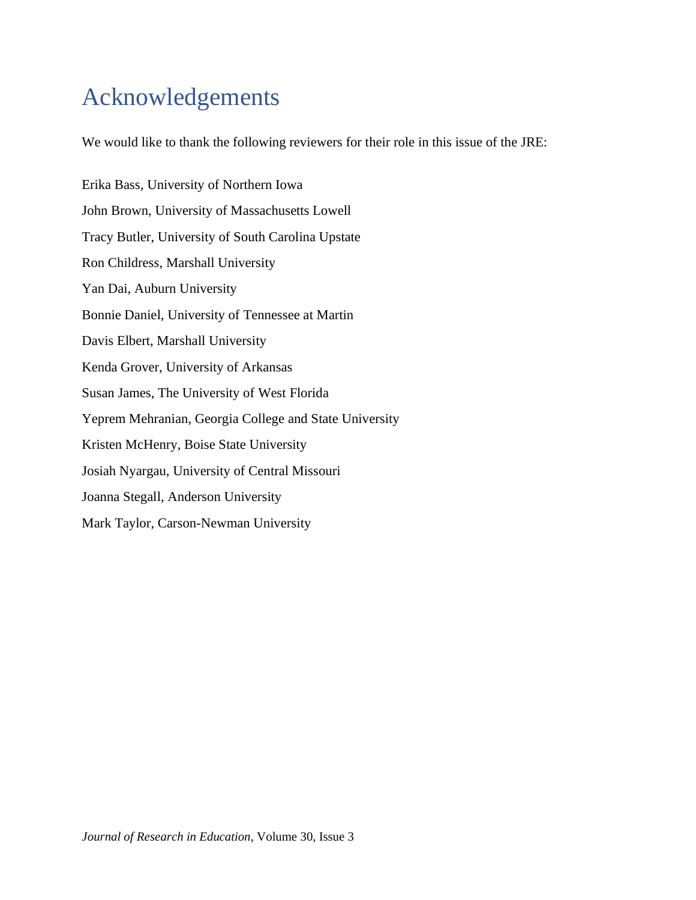# Acknowledgements

We would like to thank the following reviewers for their role in this issue of the JRE:

Erika Bass, University of Northern Iowa John Brown, University of Massachusetts Lowell Tracy Butler, University of South Carolina Upstate Ron Childress, Marshall University Yan Dai, Auburn University Bonnie Daniel, University of Tennessee at Martin Davis Elbert, Marshall University Kenda Grover, University of Arkansas Susan James, The University of West Florida Yeprem Mehranian, Georgia College and State University Kristen McHenry, Boise State University Josiah Nyargau, University of Central Missouri Joanna Stegall, Anderson University Mark Taylor, Carson-Newman University